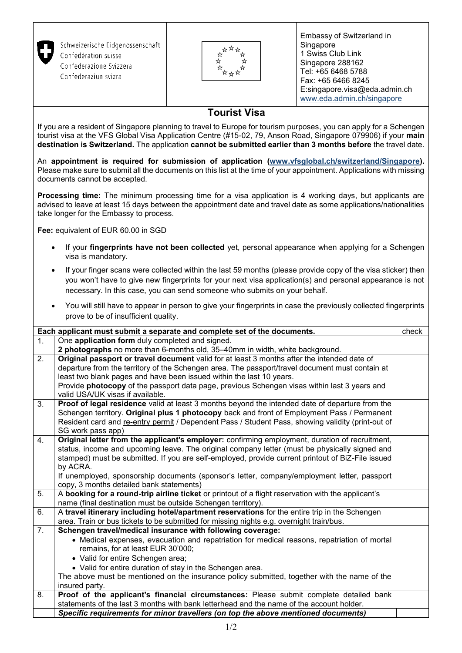| Schweizerische Eidgenossenschaft<br>Confédération suisse<br>Confederazione Svizzera<br>Confederaziun svizra                                                                                                                                                                                                                                           |                     | Embassy of Switzerland in<br>Singapore<br>1 Swiss Club Link<br>Singapore 288162<br>Tel: +65 6468 5788<br>Fax: +65 6466 8245<br>E:singapore.visa@eda.admin.ch<br>www.eda.admin.ch/singapore |       |  |
|-------------------------------------------------------------------------------------------------------------------------------------------------------------------------------------------------------------------------------------------------------------------------------------------------------------------------------------------------------|---------------------|--------------------------------------------------------------------------------------------------------------------------------------------------------------------------------------------|-------|--|
|                                                                                                                                                                                                                                                                                                                                                       | <b>Tourist Visa</b> |                                                                                                                                                                                            |       |  |
| If you are a resident of Singapore planning to travel to Europe for tourism purposes, you can apply for a Schengen<br>tourist visa at the VFS Global Visa Application Centre (#15-02, 79, Anson Road, Singapore 079906) if your main<br>destination is Switzerland. The application cannot be submitted earlier than 3 months before the travel date. |                     |                                                                                                                                                                                            |       |  |
| An appointment is required for submission of application (www.vfsglobal.ch/switzerland/Singapore).<br>Please make sure to submit all the documents on this list at the time of your appointment. Applications with missing<br>documents cannot be accepted.                                                                                           |                     |                                                                                                                                                                                            |       |  |
| Processing time: The minimum processing time for a visa application is 4 working days, but applicants are<br>advised to leave at least 15 days between the appointment date and travel date as some applications/nationalities<br>take longer for the Embassy to process.                                                                             |                     |                                                                                                                                                                                            |       |  |
| Fee: equivalent of EUR 60.00 in SGD                                                                                                                                                                                                                                                                                                                   |                     |                                                                                                                                                                                            |       |  |
| If your fingerprints have not been collected yet, personal appearance when applying for a Schengen<br>visa is mandatory.                                                                                                                                                                                                                              |                     |                                                                                                                                                                                            |       |  |
| If your finger scans were collected within the last 59 months (please provide copy of the visa sticker) then<br>you won't have to give new fingerprints for your next visa application(s) and personal appearance is not<br>necessary. In this case, you can send someone who submits on your behalf.                                                 |                     |                                                                                                                                                                                            |       |  |
| You will still have to appear in person to give your fingerprints in case the previously collected fingerprints<br>$\bullet$<br>prove to be of insufficient quality.                                                                                                                                                                                  |                     |                                                                                                                                                                                            |       |  |
| Each applicant must submit a separate and complete set of the documents.                                                                                                                                                                                                                                                                              |                     |                                                                                                                                                                                            | check |  |
| One application form duly completed and signed.<br>$\mathbf{1}$ .                                                                                                                                                                                                                                                                                     |                     |                                                                                                                                                                                            |       |  |
| 2 photographs no more than 6-months old, 35-40mm in width, white background.<br>$\overline{2}$ .<br>Original passport or travel document valid for at least 3 months after the intended date of                                                                                                                                                       |                     |                                                                                                                                                                                            |       |  |
| departure from the territory of the Schengen area. The passport/travel document must contain at                                                                                                                                                                                                                                                       |                     |                                                                                                                                                                                            |       |  |
| least two blank pages and have been issued within the last 10 years.<br>Provide photocopy of the passport data page, previous Schengen visas within last 3 years and                                                                                                                                                                                  |                     |                                                                                                                                                                                            |       |  |
| valid USA/UK visas if available.                                                                                                                                                                                                                                                                                                                      |                     |                                                                                                                                                                                            |       |  |
|                                                                                                                                                                                                                                                                                                                                                       | 11.110              |                                                                                                                                                                                            |       |  |

3. **Proof of legal residence** valid at least 3 months beyond the intended date of departure from the Schengen territory. **Original plus 1 photocopy** back and front of Employment Pass / Permanent Resident card and re-entry permit / Dependent Pass / Student Pass, showing validity (print-out of SG work pass app) 4. **Original letter from the applicant's employer:** confirming employment, duration of recruitment, status, income and upcoming leave. The original company letter (must be physically signed and

stamped) must be submitted. If you are self-employed, provide current printout of BiZ-File issued by ACRA. If unemployed, sponsorship documents (sponsor's letter, company/employment letter, passport copy, 3 months detailed bank statements) 5. A **booking for a round-trip airline ticket** or printout of a flight reservation with the applicant's

name (final destination must be outside Schengen territory). 6. A **travel itinerary including hotel/apartment reservations** for the entire trip in the Schengen area. Train or bus tickets to be submitted for missing nights e.g. overnight train/bus. 7. **Schengen travel/medical insurance with following coverage:** Medical expenses, evacuation and repatriation for medical reasons, repatriation of mortal remains, for at least EUR 30'000; Valid for entire Schengen area; • Valid for entire duration of stay in the Schengen area. The above must be mentioned on the insurance policy submitted, together with the name of the insured party. 8. **Proof of the applicant's financial circumstances:** Please submit complete detailed bank statements of the last 3 months with bank letterhead and the name of the account holder.

*Specific requirements for minor travellers (on top the above mentioned documents)*